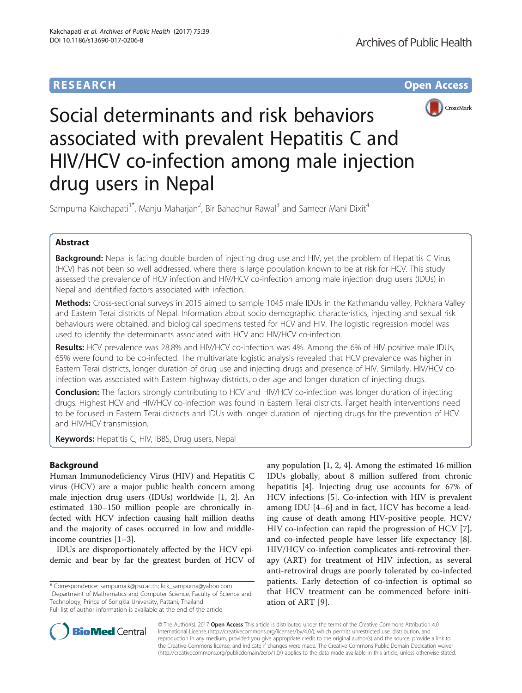# **RESEARCH CHE Open Access**



# Social determinants and risk behaviors associated with prevalent Hepatitis C and HIV/HCV co-infection among male injection drug users in Nepal

Sampurna Kakchapati<sup>1\*</sup>, Manju Maharjan<sup>2</sup>, Bir Bahadhur Rawal<sup>3</sup> and Sameer Mani Dixit<sup>4</sup>

# Abstract

Background: Nepal is facing double burden of injecting drug use and HIV, yet the problem of Hepatitis C Virus (HCV) has not been so well addressed, where there is large population known to be at risk for HCV. This study assessed the prevalence of HCV infection and HIV/HCV co-infection among male injection drug users (IDUs) in Nepal and identified factors associated with infection.

Methods: Cross-sectional surveys in 2015 aimed to sample 1045 male IDUs in the Kathmandu valley, Pokhara Valley and Eastern Terai districts of Nepal. Information about socio demographic characteristics, injecting and sexual risk behaviours were obtained, and biological specimens tested for HCV and HIV. The logistic regression model was used to identify the determinants associated with HCV and HIV/HCV co-infection.

Results: HCV prevalence was 28.8% and HIV/HCV co-infection was 4%. Among the 6% of HIV positive male IDUs, 65% were found to be co-infected. The multivariate logistic analysis revealed that HCV prevalence was higher in Eastern Terai districts, longer duration of drug use and injecting drugs and presence of HIV. Similarly, HIV/HCV coinfection was associated with Eastern highway districts, older age and longer duration of injecting drugs.

**Conclusion:** The factors strongly contributing to HCV and HIV/HCV co-infection was longer duration of injecting drugs. Highest HCV and HIV/HCV co-infection was found in Eastern Terai districts. Target health interventions need to be focused in Eastern Terai districts and IDUs with longer duration of injecting drugs for the prevention of HCV and HIV/HCV transmission.

Keywords: Hepatitis C, HIV, IBBS, Drug users, Nepal

# Background

Human Immunodeficiency Virus (HIV) and Hepatitis C virus (HCV) are a major public health concern among male injection drug users (IDUs) worldwide [[1, 2](#page-9-0)]. An estimated 130–150 million people are chronically infected with HCV infection causing half million deaths and the majority of cases occurred in low and middleincome countries [[1](#page-9-0)–[3](#page-9-0)].

IDUs are disproportionately affected by the HCV epidemic and bear by far the greatest burden of HCV of

\* Correspondence: [sampurna.k@psu.ac.th](mailto:sampurna.k@psu.ac.th); [kck\\_sampurna@yahoo.com](mailto:kck_sampurna@yahoo.com) <sup>1</sup> <sup>1</sup>Department of Mathematics and Computer Science, Faculty of Science and Technology, Prince of Songkla University, Pattani, Thailand

Full list of author information is available at the end of the article

any population [\[1](#page-9-0), [2](#page-9-0), [4](#page-9-0)]. Among the estimated 16 million IDUs globally, about 8 million suffered from chronic hepatitis [\[4\]](#page-9-0). Injecting drug use accounts for 67% of HCV infections [\[5\]](#page-9-0). Co-infection with HIV is prevalent among IDU [\[4](#page-9-0)–[6](#page-9-0)] and in fact, HCV has become a leading cause of death among HIV-positive people. HCV/ HIV co-infection can rapid the progression of HCV [\[7](#page-9-0)], and co-infected people have lesser life expectancy [\[8](#page-9-0)]. HIV/HCV co-infection complicates anti-retroviral therapy (ART) for treatment of HIV infection, as several anti-retroviral drugs are poorly tolerated by co-infected patients. Early detection of co-infection is optimal so that HCV treatment can be commenced before initiation of ART [[9\]](#page-9-0).



© The Author(s). 2017 **Open Access** This article is distributed under the terms of the Creative Commons Attribution 4.0 International License [\(http://creativecommons.org/licenses/by/4.0/](http://creativecommons.org/licenses/by/4.0/)), which permits unrestricted use, distribution, and reproduction in any medium, provided you give appropriate credit to the original author(s) and the source, provide a link to the Creative Commons license, and indicate if changes were made. The Creative Commons Public Domain Dedication waiver [\(http://creativecommons.org/publicdomain/zero/1.0/](http://creativecommons.org/publicdomain/zero/1.0/)) applies to the data made available in this article, unless otherwise stated.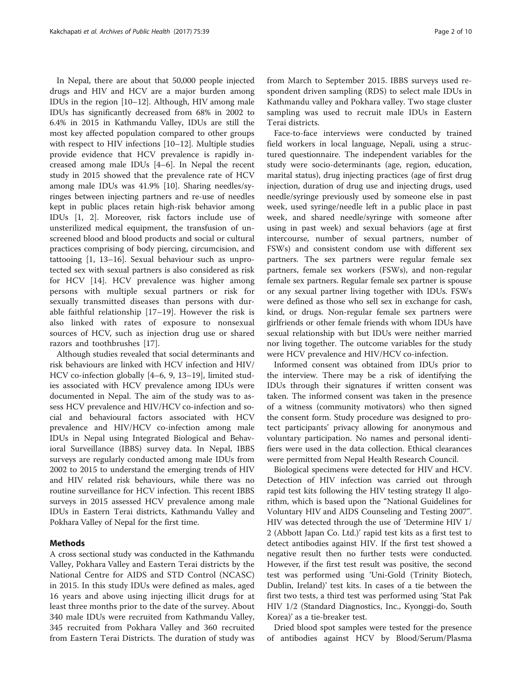In Nepal, there are about that 50,000 people injected drugs and HIV and HCV are a major burden among IDUs in the region [\[10](#page-9-0)–[12\]](#page-9-0). Although, HIV among male IDUs has significantly decreased from 68% in 2002 to 6.4% in 2015 in Kathmandu Valley, IDUs are still the most key affected population compared to other groups with respect to HIV infections [[10](#page-9-0)–[12](#page-9-0)]. Multiple studies provide evidence that HCV prevalence is rapidly increased among male IDUs [[4](#page-9-0)–[6](#page-9-0)]. In Nepal the recent study in 2015 showed that the prevalence rate of HCV among male IDUs was 41.9% [[10\]](#page-9-0). Sharing needles/syringes between injecting partners and re-use of needles kept in public places retain high-risk behavior among IDUs [\[1](#page-9-0), [2](#page-9-0)]. Moreover, risk factors include use of unsterilized medical equipment, the transfusion of unscreened blood and blood products and social or cultural practices comprising of body piercing, circumcision, and tattooing [\[1](#page-9-0), [13](#page-9-0)–[16\]](#page-9-0). Sexual behaviour such as unprotected sex with sexual partners is also considered as risk for HCV [\[14](#page-9-0)]. HCV prevalence was higher among persons with multiple sexual partners or risk for sexually transmitted diseases than persons with durable faithful relationship [\[17](#page-9-0)–[19](#page-9-0)]. However the risk is also linked with rates of exposure to nonsexual sources of HCV, such as injection drug use or shared razors and toothbrushes [[17\]](#page-9-0).

Although studies revealed that social determinants and risk behaviours are linked with HCV infection and HIV/ HCV co-infection globally [\[4](#page-9-0)–[6, 9](#page-9-0), [13](#page-9-0)–[19\]](#page-9-0), limited studies associated with HCV prevalence among IDUs were documented in Nepal. The aim of the study was to assess HCV prevalence and HIV/HCV co-infection and social and behavioural factors associated with HCV prevalence and HIV/HCV co-infection among male IDUs in Nepal using Integrated Biological and Behavioral Surveillance (IBBS) survey data. In Nepal, IBBS surveys are regularly conducted among male IDUs from 2002 to 2015 to understand the emerging trends of HIV and HIV related risk behaviours, while there was no routine surveillance for HCV infection. This recent IBBS surveys in 2015 assessed HCV prevalence among male IDUs in Eastern Terai districts, Kathmandu Valley and Pokhara Valley of Nepal for the first time.

# Methods

A cross sectional study was conducted in the Kathmandu Valley, Pokhara Valley and Eastern Terai districts by the National Centre for AIDS and STD Control (NCASC) in 2015. In this study IDUs were defined as males, aged 16 years and above using injecting illicit drugs for at least three months prior to the date of the survey. About 340 male IDUs were recruited from Kathmandu Valley, 345 recruited from Pokhara Valley and 360 recruited from Eastern Terai Districts. The duration of study was from March to September 2015. IBBS surveys used respondent driven sampling (RDS) to select male IDUs in Kathmandu valley and Pokhara valley. Two stage cluster sampling was used to recruit male IDUs in Eastern Terai districts.

Face-to-face interviews were conducted by trained field workers in local language, Nepali, using a structured questionnaire. The independent variables for the study were socio-determinants (age, region, education, marital status), drug injecting practices (age of first drug injection, duration of drug use and injecting drugs, used needle/syringe previously used by someone else in past week, used syringe/needle left in a public place in past week, and shared needle/syringe with someone after using in past week) and sexual behaviors (age at first intercourse, number of sexual partners, number of FSWs) and consistent condom use with different sex partners. The sex partners were regular female sex partners, female sex workers (FSWs), and non-regular female sex partners. Regular female sex partner is spouse or any sexual partner living together with IDUs. FSWs were defined as those who sell sex in exchange for cash, kind, or drugs. Non-regular female sex partners were girlfriends or other female friends with whom IDUs have sexual relationship with but IDUs were neither married nor living together. The outcome variables for the study were HCV prevalence and HIV/HCV co-infection.

Informed consent was obtained from IDUs prior to the interview. There may be a risk of identifying the IDUs through their signatures if written consent was taken. The informed consent was taken in the presence of a witness (community motivators) who then signed the consent form. Study procedure was designed to protect participants' privacy allowing for anonymous and voluntary participation. No names and personal identifiers were used in the data collection. Ethical clearances were permitted from Nepal Health Research Council.

Biological specimens were detected for HIV and HCV. Detection of HIV infection was carried out through rapid test kits following the HIV testing strategy II algorithm, which is based upon the "National Guidelines for Voluntary HIV and AIDS Counseling and Testing 2007". HIV was detected through the use of 'Determine HIV 1/ 2 (Abbott Japan Co. Ltd.)' rapid test kits as a first test to detect antibodies against HIV. If the first test showed a negative result then no further tests were conducted. However, if the first test result was positive, the second test was performed using 'Uni-Gold (Trinity Biotech, Dublin, Ireland)' test kits. In cases of a tie between the first two tests, a third test was performed using 'Stat Pak HIV 1/2 (Standard Diagnostics, Inc., Kyonggi-do, South Korea)' as a tie-breaker test.

Dried blood spot samples were tested for the presence of antibodies against HCV by Blood/Serum/Plasma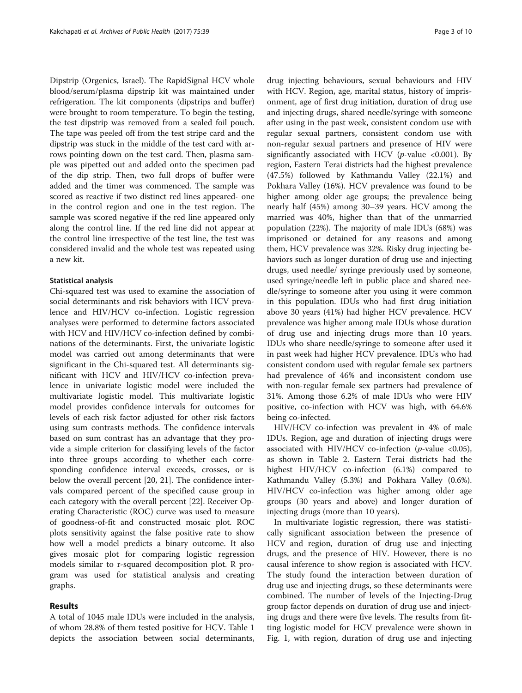Dipstrip (Orgenics, Israel). The RapidSignal HCV whole blood/serum/plasma dipstrip kit was maintained under refrigeration. The kit components (dipstrips and buffer) were brought to room temperature. To begin the testing, the test dipstrip was removed from a sealed foil pouch. The tape was peeled off from the test stripe card and the dipstrip was stuck in the middle of the test card with arrows pointing down on the test card. Then, plasma sample was pipetted out and added onto the specimen pad of the dip strip. Then, two full drops of buffer were added and the timer was commenced. The sample was scored as reactive if two distinct red lines appeared- one in the control region and one in the test region. The sample was scored negative if the red line appeared only along the control line. If the red line did not appear at the control line irrespective of the test line, the test was considered invalid and the whole test was repeated using a new kit.

## Statistical analysis

Chi-squared test was used to examine the association of social determinants and risk behaviors with HCV prevalence and HIV/HCV co-infection. Logistic regression analyses were performed to determine factors associated with HCV and HIV/HCV co-infection defined by combinations of the determinants. First, the univariate logistic model was carried out among determinants that were significant in the Chi-squared test. All determinants significant with HCV and HIV/HCV co-infection prevalence in univariate logistic model were included the multivariate logistic model. This multivariate logistic model provides confidence intervals for outcomes for levels of each risk factor adjusted for other risk factors using sum contrasts methods. The confidence intervals based on sum contrast has an advantage that they provide a simple criterion for classifying levels of the factor into three groups according to whether each corresponding confidence interval exceeds, crosses, or is below the overall percent [[20](#page-9-0), [21\]](#page-9-0). The confidence intervals compared percent of the specified cause group in each category with the overall percent [[22\]](#page-9-0). Receiver Operating Characteristic (ROC) curve was used to measure of goodness-of-fit and constructed mosaic plot. ROC plots sensitivity against the false positive rate to show how well a model predicts a binary outcome. It also gives mosaic plot for comparing logistic regression models similar to r-squared decomposition plot. R program was used for statistical analysis and creating graphs.

## Results

A total of 1045 male IDUs were included in the analysis, of whom 28.8% of them tested positive for HCV. Table [1](#page-3-0) depicts the association between social determinants,

drug injecting behaviours, sexual behaviours and HIV with HCV. Region, age, marital status, history of imprisonment, age of first drug initiation, duration of drug use and injecting drugs, shared needle/syringe with someone after using in the past week, consistent condom use with regular sexual partners, consistent condom use with non-regular sexual partners and presence of HIV were significantly associated with HCV (*p*-value <0.001). By region, Eastern Terai districts had the highest prevalence (47.5%) followed by Kathmandu Valley (22.1%) and Pokhara Valley (16%). HCV prevalence was found to be higher among older age groups; the prevalence being nearly half (45%) among 30–39 years. HCV among the married was 40%, higher than that of the unmarried population (22%). The majority of male IDUs (68%) was imprisoned or detained for any reasons and among them, HCV prevalence was 32%. Risky drug injecting behaviors such as longer duration of drug use and injecting drugs, used needle/ syringe previously used by someone, used syringe/needle left in public place and shared needle/syringe to someone after you using it were common in this population. IDUs who had first drug initiation above 30 years (41%) had higher HCV prevalence. HCV prevalence was higher among male IDUs whose duration of drug use and injecting drugs more than 10 years. IDUs who share needle/syringe to someone after used it in past week had higher HCV prevalence. IDUs who had consistent condom used with regular female sex partners had prevalence of 46% and inconsistent condom use with non-regular female sex partners had prevalence of 31%. Among those 6.2% of male IDUs who were HIV positive, co-infection with HCV was high, with 64.6% being co-infected.

HIV/HCV co-infection was prevalent in 4% of male IDUs. Region, age and duration of injecting drugs were associated with HIV/HCV co-infection ( $p$ -value <0.05), as shown in Table [2.](#page-5-0) Eastern Terai districts had the highest HIV/HCV co-infection (6.1%) compared to Kathmandu Valley (5.3%) and Pokhara Valley (0.6%). HIV/HCV co-infection was higher among older age groups (30 years and above) and longer duration of injecting drugs (more than 10 years).

In multivariate logistic regression, there was statistically significant association between the presence of HCV and region, duration of drug use and injecting drugs, and the presence of HIV. However, there is no causal inference to show region is associated with HCV. The study found the interaction between duration of drug use and injecting drugs, so these determinants were combined. The number of levels of the Injecting-Drug group factor depends on duration of drug use and injecting drugs and there were five levels. The results from fitting logistic model for HCV prevalence were shown in Fig. [1,](#page-6-0) with region, duration of drug use and injecting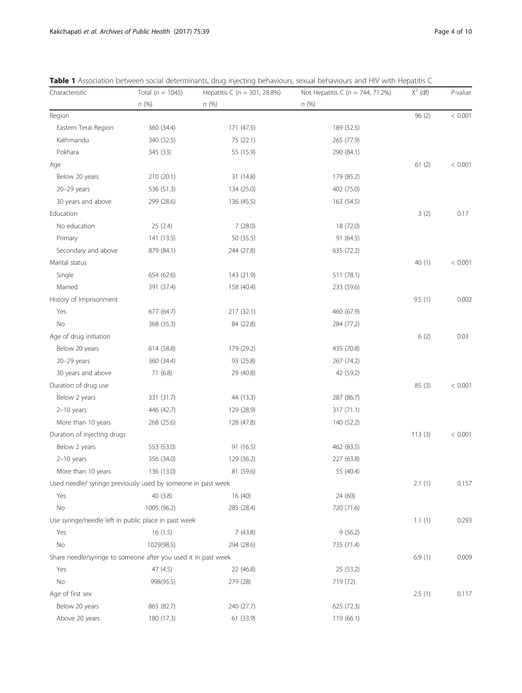| Page 4 of |  |  |
|-----------|--|--|
|           |  |  |

<span id="page-3-0"></span>

|  |  |  |  |  |  | Table 1 Association between social determinants, drug injecting behaviours, sexual behaviours and HIV with Hepatitis C |  |
|--|--|--|--|--|--|------------------------------------------------------------------------------------------------------------------------|--|
|--|--|--|--|--|--|------------------------------------------------------------------------------------------------------------------------|--|

| Characteristic                                                 | Total ( $n = 1045$ ) | Hepatitis C ( $n = 301, 28.8\%$ ) | Not Hepatitis C ( $n = 744, 71.2%$ ) | $X^2$ (df) | $P$ -value |
|----------------------------------------------------------------|----------------------|-----------------------------------|--------------------------------------|------------|------------|
|                                                                | n(%)                 | n(%)                              | n(%)                                 |            |            |
| Region                                                         |                      |                                   |                                      | 96 (2)     | < 0.001    |
| Eastern Terai Region                                           | 360 (34.4)           | 171 (47.5)                        | 189 (52.5)                           |            |            |
| Kathmandu                                                      | 340 (32.5)           | 75 (22.1)                         | 265 (77.9)                           |            |            |
| Pokhara                                                        | 345 (33)             | 55 (15.9)                         | 290 (84.1)                           |            |            |
| Age                                                            |                      |                                   |                                      | 61(2)      | < 0.001    |
| Below 20 years                                                 | 210 (20.1)           | 31 (14.8)                         | 179 (85.2)                           |            |            |
| 20-29 years                                                    | 536 (51.3)           | 134 (25.0)                        | 402 (75.0)                           |            |            |
| 30 years and above                                             | 299 (28.6)           | 136 (45.5)                        | 163 (54.5)                           |            |            |
| Education                                                      |                      |                                   |                                      | 3(2)       | 0.17       |
| No education                                                   | 25(2.4)              | 7(28.0)                           | 18 (72.0)                            |            |            |
| Primary                                                        | 141 (13.5)           | 50 (35.5)                         | 91 (64.5)                            |            |            |
| Secondary and above                                            | 879 (84.1)           | 244 (27.8)                        | 635 (72.2)                           |            |            |
| Marital status                                                 |                      |                                   |                                      | 40 (1)     | < 0.001    |
| Single                                                         | 654 (62.6)           | 143 (21.9)                        | 511 (78.1)                           |            |            |
| Married                                                        | 391 (37.4)           | 158 (40.4)                        | 233 (59.6)                           |            |            |
| History of Imprisonment                                        |                      |                                   |                                      | 9.5(1)     | 0.002      |
| Yes                                                            | 677 (64.7)           | 217 (32.1)                        | 460 (67.9)                           |            |            |
| No                                                             | 368 (35.3)           | 84 (22.8)                         | 284 (77.2)                           |            |            |
| Age of drug initiation                                         |                      |                                   |                                      | 6(2)       | 0.03       |
| Below 20 years                                                 | 614 (58.8)           | 179 (29.2)                        | 435 (70.8)                           |            |            |
| 20-29 years                                                    | 360 (34.4)           | 93 (25.8)                         | 267 (74.2)                           |            |            |
| 30 years and above                                             | 71 (6.8)             | 29 (40.8)                         | 42 (59.2)                            |            |            |
| Duration of drug use                                           |                      |                                   |                                      | 85 (3)     | < 0.001    |
| Below 2 years                                                  | 331 (31.7)           | 44 (13.3)                         | 287 (86.7)                           |            |            |
| $2-10$ years                                                   | 446 (42.7)           | 129 (28.9)                        | 317 (71.1)                           |            |            |
| More than 10 years                                             | 268 (25.6)           | 128 (47.8)                        | 140 (52.2)                           |            |            |
| Duration of injecting drugs                                    |                      |                                   |                                      | 113(3)     | < 0.001    |
| Below 2 years                                                  | 553 (53.0)           | 91 (16.5)                         | 462 (83.5)                           |            |            |
| $2-10$ years                                                   | 356 (34.0)           | 129 (36.2)                        | 227 (63.8)                           |            |            |
| More than 10 years                                             | 136 (13.0)           | 81 (59.6)                         | 55 (40.4)                            |            |            |
| Used needle/ syringe previously used by someone in past week   |                      |                                   |                                      | 2.1(1)     | 0.157      |
| Yes                                                            | 40(3.8)              | 16 (40)                           | 24 (60)                              |            |            |
| No                                                             | 1005 (96.2)          | 285 (28.4)                        | 720 (71.6)                           |            |            |
| Use syringe/needle left in public place in past week           |                      |                                   |                                      | 1.1(1)     | 0.293      |
| Yes                                                            | 16(1.5)              | 7(43.8)                           | 9(56.2)                              |            |            |
| No                                                             | 1029(98.5)           | 294 (28.6)                        | 735 (71.4)                           |            |            |
| Share needle/syringe to someone after you used it in past week |                      |                                   |                                      | 6.9(1)     | 0.009      |
| Yes                                                            | 47(4.5)              | 22 (46.8)                         | 25 (53.2)                            |            |            |
| No                                                             | 998(95.5)            | 279 (28)                          | 719 (72)                             |            |            |
| Age of first sex                                               |                      |                                   |                                      | 2.5(1)     | 0.117      |
| Below 20 years                                                 | 865 (82.7)           | 240 (27.7)                        | 625 (72.3)                           |            |            |
| Above 20 years                                                 | 180 (17.3)           | 61 (33.9)                         | 119 (66.1)                           |            |            |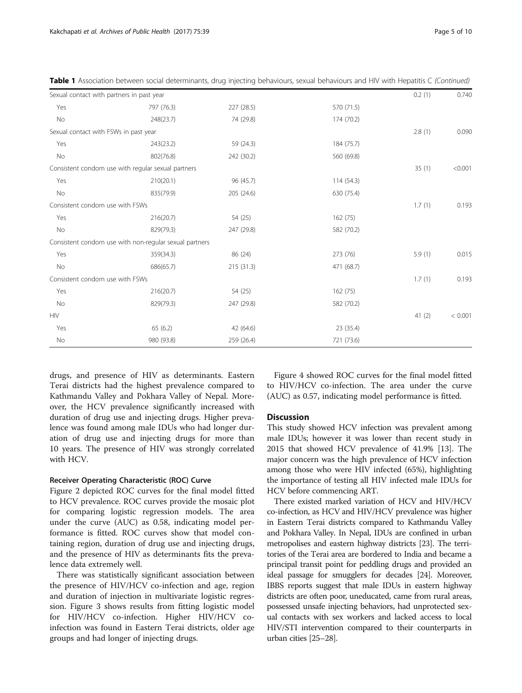| Sexual contact with partners in past year |                                                        |            |            | 0.2(1)   | 0.740   |
|-------------------------------------------|--------------------------------------------------------|------------|------------|----------|---------|
| Yes                                       | 797 (76.3)                                             | 227 (28.5) | 570 (71.5) |          |         |
| No                                        | 248(23.7)                                              | 74 (29.8)  | 174 (70.2) |          |         |
| Sexual contact with FSWs in past year     |                                                        |            |            | 2.8(1)   | 0.090   |
| Yes                                       | 243(23.2)                                              | 59 (24.3)  | 184 (75.7) |          |         |
| No                                        | 802(76.8)                                              | 242 (30.2) | 560 (69.8) |          |         |
|                                           | Consistent condom use with regular sexual partners     |            |            | 35(1)    | < 0.001 |
| Yes                                       | 210(20.1)                                              | 96 (45.7)  | 114 (54.3) |          |         |
| No                                        | 835(79.9)                                              | 205 (24.6) | 630 (75.4) |          |         |
| Consistent condom use with FSWs           |                                                        |            |            | 1.7(1)   | 0.193   |
| Yes                                       | 216(20.7)                                              | 54 (25)    | 162(75)    |          |         |
| No                                        | 829(79.3)                                              | 247 (29.8) | 582 (70.2) |          |         |
|                                           | Consistent condom use with non-regular sexual partners |            |            |          |         |
| Yes                                       | 359(34.3)                                              | 86 (24)    | 273 (76)   | 5.9(1)   | 0.015   |
| No                                        | 686(65.7)                                              | 215 (31.3) | 471 (68.7) |          |         |
| Consistent condom use with FSWs           |                                                        |            |            | 1.7(1)   | 0.193   |
| Yes                                       | 216(20.7)                                              | 54 (25)    | 162(75)    |          |         |
| No                                        | 829(79.3)                                              | 247 (29.8) | 582 (70.2) |          |         |
| <b>HIV</b>                                |                                                        |            |            | 41 $(2)$ | < 0.001 |
| Yes                                       | 65(6.2)                                                | 42 (64.6)  | 23 (35.4)  |          |         |
| No                                        | 980 (93.8)                                             | 259 (26.4) | 721 (73.6) |          |         |

Table 1 Association between social determinants, drug injecting behaviours, sexual behaviours and HIV with Hepatitis C (Continued)

drugs, and presence of HIV as determinants. Eastern Terai districts had the highest prevalence compared to Kathmandu Valley and Pokhara Valley of Nepal. Moreover, the HCV prevalence significantly increased with duration of drug use and injecting drugs. Higher prevalence was found among male IDUs who had longer duration of drug use and injecting drugs for more than 10 years. The presence of HIV was strongly correlated with HCV.

## Receiver Operating Characteristic (ROC) Curve

Figure [2](#page-7-0) depicted ROC curves for the final model fitted to HCV prevalence. ROC curves provide the mosaic plot for comparing logistic regression models. The area under the curve (AUC) as 0.58, indicating model performance is fitted. ROC curves show that model containing region, duration of drug use and injecting drugs, and the presence of HIV as determinants fits the prevalence data extremely well.

There was statistically significant association between the presence of HIV/HCV co-infection and age, region and duration of injection in multivariate logistic regression. Figure [3](#page-7-0) shows results from fitting logistic model for HIV/HCV co-infection. Higher HIV/HCV coinfection was found in Eastern Terai districts, older age groups and had longer of injecting drugs.

Figure [4](#page-8-0) showed ROC curves for the final model fitted to HIV/HCV co-infection. The area under the curve (AUC) as 0.57, indicating model performance is fitted.

# **Discussion**

This study showed HCV infection was prevalent among male IDUs; however it was lower than recent study in 2015 that showed HCV prevalence of 41.9% [[13](#page-9-0)]. The major concern was the high prevalence of HCV infection among those who were HIV infected (65%), highlighting the importance of testing all HIV infected male IDUs for HCV before commencing ART.

There existed marked variation of HCV and HIV/HCV co-infection, as HCV and HIV/HCV prevalence was higher in Eastern Terai districts compared to Kathmandu Valley and Pokhara Valley. In Nepal, IDUs are confined in urban metropolises and eastern highway districts [\[23\]](#page-9-0). The territories of the Terai area are bordered to India and became a principal transit point for peddling drugs and provided an ideal passage for smugglers for decades [\[24](#page-9-0)]. Moreover, IBBS reports suggest that male IDUs in eastern highway districts are often poor, uneducated, came from rural areas, possessed unsafe injecting behaviors, had unprotected sexual contacts with sex workers and lacked access to local HIV/STI intervention compared to their counterparts in urban cities [[25](#page-9-0)–[28](#page-9-0)].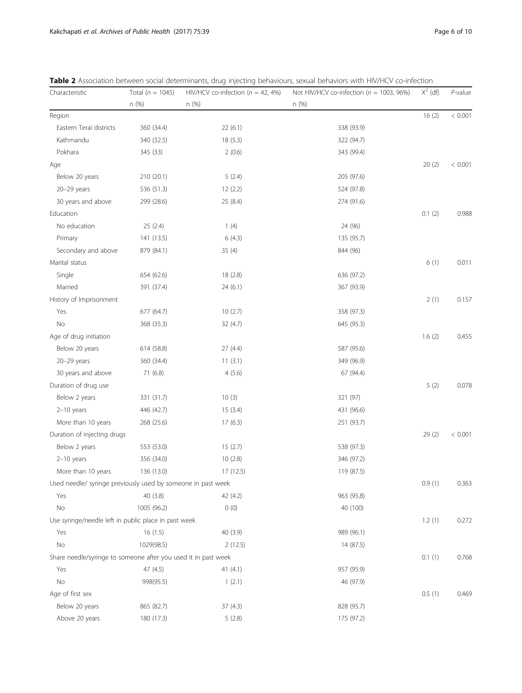| Page 6 of |  |  |
|-----------|--|--|
|           |  |  |

<span id="page-5-0"></span>

| Table 2 Association between social determinants, drug injecting behaviours, sexual behaviors with HIV/HCV co-infection |  |  |  |  |
|------------------------------------------------------------------------------------------------------------------------|--|--|--|--|
|------------------------------------------------------------------------------------------------------------------------|--|--|--|--|

| Characteristic                                                 | Total ( $n = 1045$ ) | HIV/HCV co-infection ( $n = 42, 4\%)$ | Not HIV/HCV co-infection ( $n = 1003$ , 96%) | $X^2$ (df) | $P$ -value |
|----------------------------------------------------------------|----------------------|---------------------------------------|----------------------------------------------|------------|------------|
|                                                                | n (%)                | n (%)                                 | n (%)                                        |            |            |
| Region                                                         |                      |                                       |                                              | 16(2)      | < 0.001    |
| Eastern Terai districts                                        | 360 (34.4)           | 22(6.1)                               | 338 (93.9)                                   |            |            |
| Kathmandu                                                      | 340 (32.5)           | 18(5.3)                               | 322 (94.7)                                   |            |            |
| Pokhara                                                        | 345 (33)             | 2(0.6)                                | 343 (99.4)                                   |            |            |
| Age                                                            |                      |                                       |                                              | 20(2)      | < 0.001    |
| Below 20 years                                                 | 210 (20.1)           | 5(2.4)                                | 205 (97.6)                                   |            |            |
| $20 - 29$ years                                                | 536 (51.3)           | 12(2.2)                               | 524 (97.8)                                   |            |            |
| 30 years and above                                             | 299 (28.6)           | 25 (8.4)                              | 274 (91.6)                                   |            |            |
| Education                                                      |                      |                                       |                                              | 0.1(2)     | 0.988      |
| No education                                                   | 25(2.4)              | 1(4)                                  | 24 (96)                                      |            |            |
| Primary                                                        | 141 (13.5)           | 6(4.3)                                | 135 (95.7)                                   |            |            |
| Secondary and above                                            | 879 (84.1)           | 35(4)                                 | 844 (96)                                     |            |            |
| Marital status                                                 |                      |                                       |                                              | 6(1)       | 0.011      |
| Single                                                         | 654 (62.6)           | 18(2.8)                               | 636 (97.2)                                   |            |            |
| Married                                                        | 391 (37.4)           | 24(6.1)                               | 367 (93.9)                                   |            |            |
| History of Imprisonment                                        |                      |                                       |                                              | 2(1)       | 0.157      |
| Yes                                                            | 677 (64.7)           | 10(2.7)                               | 358 (97.3)                                   |            |            |
| No                                                             | 368 (35.3)           | 32 (4.7)                              | 645 (95.3)                                   |            |            |
| Age of drug initiation                                         |                      |                                       |                                              | 1.6(2)     | 0.455      |
| Below 20 years                                                 | 614 (58.8)           | 27(4.4)                               | 587 (95.6)                                   |            |            |
| 20-29 years                                                    | 360 (34.4)           | 11(3.1)                               | 349 (96.9)                                   |            |            |
| 30 years and above                                             | 71 (6.8)             | 4(5.6)                                | 67 (94.4)                                    |            |            |
| Duration of drug use                                           |                      |                                       |                                              | 5(2)       | 0.078      |
| Below 2 years                                                  | 331 (31.7)           | 10(3)                                 | 321 (97)                                     |            |            |
| $2-10$ years                                                   | 446 (42.7)           | 15(3.4)                               | 431 (96.6)                                   |            |            |
| More than 10 years                                             | 268 (25.6)           | 17(6.3)                               | 251 (93.7)                                   |            |            |
| Duration of injecting drugs                                    |                      |                                       |                                              | 29(2)      | < 0.001    |
| Below 2 years                                                  | 553 (53.0)           | 15(2.7)                               | 538 (97.3)                                   |            |            |
| $2-10$ years                                                   | 356 (34.0)           | 10(2.8)                               | 346 (97.2)                                   |            |            |
| More than 10 years                                             | 136 (13.0)           | 17 (12.5)                             | 119 (87.5)                                   |            |            |
| Used needle/ syringe previously used by someone in past week   |                      |                                       |                                              | 0.9(1)     | 0.363      |
| Yes                                                            | 40(3.8)              | 42 (4.2)                              | 963 (95.8)                                   |            |            |
| No                                                             | 1005 (96.2)          | 0(0)                                  | 40 (100)                                     |            |            |
| Use syringe/needle left in public place in past week           |                      |                                       |                                              | 1.2(1)     | 0.272      |
| Yes                                                            | 16(1.5)              | 40 (3.9)                              | 989 (96.1)                                   |            |            |
| No                                                             | 1029(98.5)           | 2(12.5)                               | 14 (87.5)                                    |            |            |
| Share needle/syringe to someone after you used it in past week |                      |                                       |                                              | 0.1(1)     | 0.768      |
| Yes                                                            | 47 (4.5)             | 41 $(4.1)$                            | 957 (95.9)                                   |            |            |
| No                                                             | 998(95.5)            | 1(2.1)                                | 46 (97.9)                                    |            |            |
| Age of first sex                                               |                      |                                       |                                              | 0.5(1)     | 0.469      |
| Below 20 years                                                 | 865 (82.7)           | 37(4.3)                               | 828 (95.7)                                   |            |            |
| Above 20 years                                                 | 180 (17.3)           | 5(2.8)                                | 175 (97.2)                                   |            |            |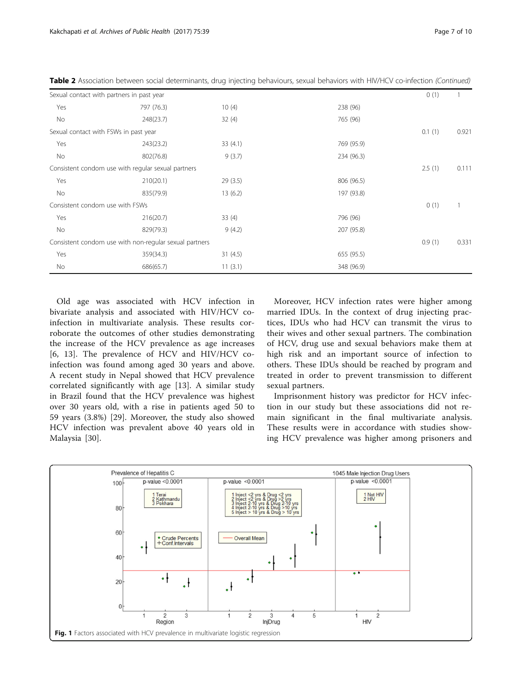|                                       | Sexual contact with partners in past year              |         |            |        |       |
|---------------------------------------|--------------------------------------------------------|---------|------------|--------|-------|
| Yes                                   | 797 (76.3)                                             | 10(4)   | 238 (96)   |        |       |
| No                                    | 248(23.7)                                              | 32(4)   | 765 (96)   |        |       |
| Sexual contact with FSWs in past year |                                                        |         |            | 0.1(1) | 0.921 |
| Yes                                   | 243(23.2)                                              | 33(4.1) | 769 (95.9) |        |       |
| No                                    | 802(76.8)                                              | 9(3.7)  | 234 (96.3) |        |       |
|                                       | Consistent condom use with regular sexual partners     |         |            | 2.5(1) | 0.111 |
| Yes                                   | 210(20.1)                                              | 29(3.5) | 806 (96.5) |        |       |
| No                                    | 835(79.9)                                              | 13(6.2) | 197 (93.8) |        |       |
| Consistent condom use with FSWs       |                                                        |         |            | 0(1)   |       |
| Yes                                   | 216(20.7)                                              | 33(4)   | 796 (96)   |        |       |
| No                                    | 829(79.3)                                              | 9(4.2)  | 207 (95.8) |        |       |
|                                       | Consistent condom use with non-regular sexual partners |         |            | 0.9(1) | 0.331 |
| Yes                                   | 359(34.3)                                              | 31(4.5) | 655 (95.5) |        |       |
| No                                    | 686(65.7)                                              | 11(3.1) | 348 (96.9) |        |       |

<span id="page-6-0"></span>Table 2 Association between social determinants, drug injecting behaviours, sexual behaviors with HIV/HCV co-infection (Continued)

Old age was associated with HCV infection in bivariate analysis and associated with HIV/HCV coinfection in multivariate analysis. These results corroborate the outcomes of other studies demonstrating the increase of the HCV prevalence as age increases [[6, 13](#page-9-0)]. The prevalence of HCV and HIV/HCV coinfection was found among aged 30 years and above. A recent study in Nepal showed that HCV prevalence correlated significantly with age [[13](#page-9-0)]. A similar study in Brazil found that the HCV prevalence was highest over 30 years old, with a rise in patients aged 50 to 59 years (3.8%) [\[29](#page-9-0)]. Moreover, the study also showed HCV infection was prevalent above 40 years old in Malaysia [\[30](#page-9-0)].

Moreover, HCV infection rates were higher among married IDUs. In the context of drug injecting practices, IDUs who had HCV can transmit the virus to their wives and other sexual partners. The combination of HCV, drug use and sexual behaviors make them at high risk and an important source of infection to others. These IDUs should be reached by program and treated in order to prevent transmission to different sexual partners.

Imprisonment history was predictor for HCV infection in our study but these associations did not remain significant in the final multivariate analysis. These results were in accordance with studies showing HCV prevalence was higher among prisoners and

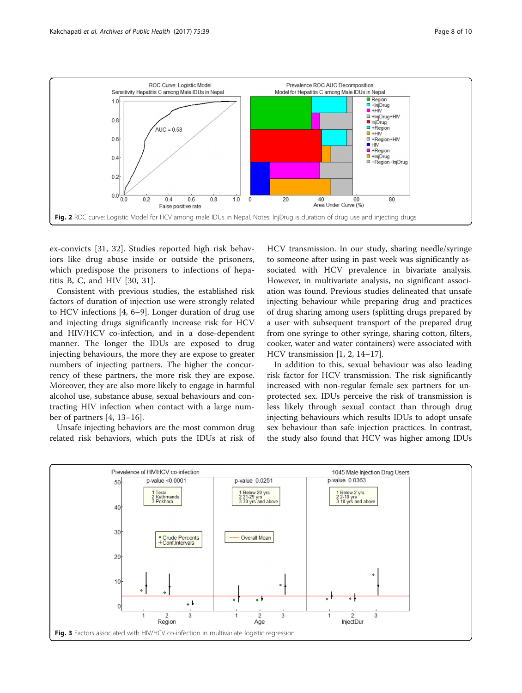<span id="page-7-0"></span>

ex-convicts [\[31](#page-9-0), [32\]](#page-9-0). Studies reported high risk behaviors like drug abuse inside or outside the prisoners, which predispose the prisoners to infections of hepatitis B, C, and HIV [[30, 31\]](#page-9-0).

Consistent with previous studies, the established risk factors of duration of injection use were strongly related to HCV infections [[4, 6](#page-9-0)–[9\]](#page-9-0). Longer duration of drug use and injecting drugs significantly increase risk for HCV and HIV/HCV co-infection, and in a dose-dependent manner. The longer the IDUs are exposed to drug injecting behaviours, the more they are expose to greater numbers of injecting partners. The higher the concurrency of these partners, the more risk they are expose. Moreover, they are also more likely to engage in harmful alcohol use, substance abuse, sexual behaviours and contracting HIV infection when contact with a large number of partners [[4, 13](#page-9-0)–[16](#page-9-0)].

Unsafe injecting behaviors are the most common drug related risk behaviors, which puts the IDUs at risk of

HCV transmission. In our study, sharing needle/syringe to someone after using in past week was significantly associated with HCV prevalence in bivariate analysis. However, in multivariate analysis, no significant association was found. Previous studies delineated that unsafe injecting behaviour while preparing drug and practices of drug sharing among users (splitting drugs prepared by a user with subsequent transport of the prepared drug from one syringe to other syringe, sharing cotton, filters, cooker, water and water containers) were associated with HCV transmission [[1, 2, 14](#page-9-0)–[17](#page-9-0)].

In addition to this, sexual behaviour was also leading risk factor for HCV transmission. The risk significantly increased with non-regular female sex partners for unprotected sex. IDUs perceive the risk of transmission is less likely through sexual contact than through drug injecting behaviours which results IDUs to adopt unsafe sex behaviour than safe injection practices. In contrast, the study also found that HCV was higher among IDUs

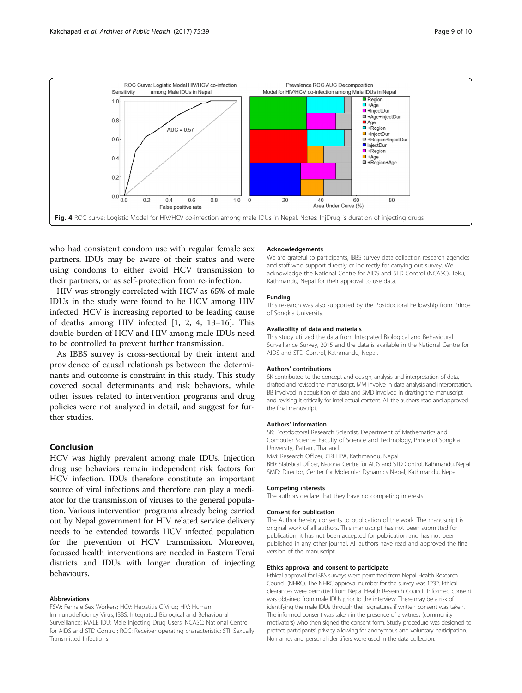<span id="page-8-0"></span>

who had consistent condom use with regular female sex partners. IDUs may be aware of their status and were using condoms to either avoid HCV transmission to their partners, or as self-protection from re-infection.

HIV was strongly correlated with HCV as 65% of male IDUs in the study were found to be HCV among HIV infected. HCV is increasing reported to be leading cause of deaths among HIV infected [[1, 2](#page-9-0), [4, 13](#page-9-0)–[16\]](#page-9-0). This double burden of HCV and HIV among male IDUs need to be controlled to prevent further transmission.

As IBBS survey is cross-sectional by their intent and providence of causal relationships between the determinants and outcome is constraint in this study. This study covered social determinants and risk behaviors, while other issues related to intervention programs and drug policies were not analyzed in detail, and suggest for further studies.

# Conclusion

HCV was highly prevalent among male IDUs. Injection drug use behaviors remain independent risk factors for HCV infection. IDUs therefore constitute an important source of viral infections and therefore can play a mediator for the transmission of viruses to the general population. Various intervention programs already being carried out by Nepal government for HIV related service delivery needs to be extended towards HCV infected population for the prevention of HCV transmission. Moreover, focussed health interventions are needed in Eastern Terai districts and IDUs with longer duration of injecting behaviours.

#### Abbreviations

FSW: Female Sex Workers; HCV: Hepatitis C Virus; HIV: Human Immunodeficiency Virus; IBBS: Integrated Biological and Behavioural Surveillance; MALE IDU: Male Injecting Drug Users; NCASC: National Centre for AIDS and STD Control; ROC: Receiver operating characteristic; STI: Sexually Transmitted Infections

#### Acknowledgements

We are grateful to participants, IBBS survey data collection research agencies and staff who support directly or indirectly for carrying out survey. We acknowledge the National Centre for AIDS and STD Control (NCASC), Teku, Kathmandu, Nepal for their approval to use data.

#### Funding

This research was also supported by the Postdoctoral Fellowship from Prince of Songkla University.

#### Availability of data and materials

This study utilized the data from Integrated Biological and Behavioural Surveillance Survey, 2015 and the data is available in the National Centre for AIDS and STD Control, Kathmandu, Nepal.

#### Authors' contributions

SK contributed to the concept and design, analysis and interpretation of data, drafted and revised the manuscript. MM involve in data analysis and interpretation. BB involved in acquisition of data and SMD involved in drafting the manuscript and revising it critically for intellectual content. All the authors read and approved the final manuscript.

#### Authors' information

SK: Postdoctoral Research Scientist, Department of Mathematics and Computer Science, Faculty of Science and Technology, Prince of Songkla University, Pattani, Thailand. MM: Research Officer, CREHPA, Kathmandu, Nepal BBR: Statistical Officer, National Centre for AIDS and STD Control, Kathmandu, Nepal SMD: Director, Center for Molecular Dynamics Nepal, Kathmandu, Nepal

#### Competing interests

The authors declare that they have no competing interests.

#### Consent for publication

The Author hereby consents to publication of the work. The manuscript is original work of all authors. This manuscript has not been submitted for publication; it has not been accepted for publication and has not been published in any other journal. All authors have read and approved the final version of the manuscript.

#### Ethics approval and consent to participate

Ethical approval for IBBS surveys were permitted from Nepal Health Research Council (NHRC). The NHRC approval number for the survey was 1232. Ethical clearances were permitted from Nepal Health Research Council. Informed consent was obtained from male IDUs prior to the interview. There may be a risk of identifying the male IDUs through their signatures if written consent was taken. The informed consent was taken in the presence of a witness (community motivators) who then signed the consent form. Study procedure was designed to protect participants' privacy allowing for anonymous and voluntary participation. No names and personal identifiers were used in the data collection.